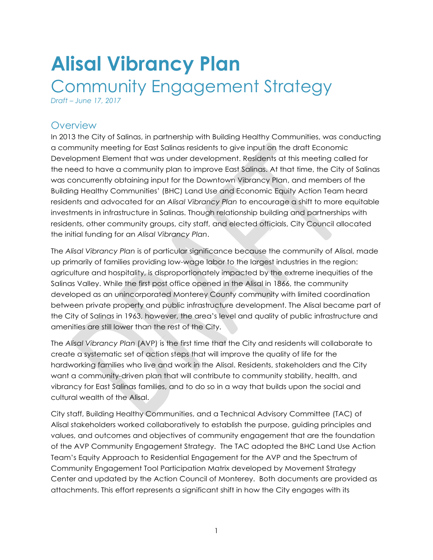# **Alisal Vibrancy Plan**  Community Engagement Strategy

*Draft – June 17, 2017*

#### **Overview**

In 2013 the City of Salinas, in partnership with Building Healthy Communities, was conducting a community meeting for East Salinas residents to give input on the draft Economic Development Element that was under development. Residents at this meeting called for the need to have a community plan to improve East Salinas. At that time, the City of Salinas was concurrently obtaining input for the Downtown Vibrancy Plan, and members of the Building Healthy Communities' (BHC) Land Use and Economic Equity Action Team heard residents and advocated for an *Alisal Vibrancy Plan* to encourage a shift to more equitable investments in infrastructure in Salinas. Though relationship building and partnerships with residents, other community groups, city staff, and elected officials, City Council allocated the initial funding for an *Alisal Vibrancy Plan*.

The *Alisal Vibrancy Plan* is of particular significance because the community of Alisal, made up primarily of families providing low-wage labor to the largest industries in the region: agriculture and hospitality, is disproportionately impacted by the extreme inequities of the Salinas Valley. While the first post office opened in the Alisal in 1866, the community developed as an unincorporated Monterey County community with limited coordination between private property and public infrastructure development. The Alisal became part of the City of Salinas in 1963, however, the area's level and quality of public infrastructure and amenities are still lower than the rest of the City.

The *Alisal Vibrancy Plan* (AVP) is the first time that the City and residents will collaborate to create a systematic set of action steps that will improve the quality of life for the hardworking families who live and work in the Alisal. Residents, stakeholders and the City want a community-driven plan that will contribute to community stability, health, and vibrancy for East Salinas families, and to do so in a way that builds upon the social and cultural wealth of the Alisal.

City staff, Building Healthy Communities, and a Technical Advisory Committee (TAC) of Alisal stakeholders worked collaboratively to establish the purpose, guiding principles and values, and outcomes and objectives of community engagement that are the foundation of the AVP Community Engagement Strategy. The TAC adopted the BHC Land Use Action Team's Equity Approach to Residential Engagement for the AVP and the Spectrum of Community Engagement Tool Participation Matrix developed by Movement Strategy Center and updated by the Action Council of Monterey. Both documents are provided as attachments. This effort represents a significant shift in how the City engages with its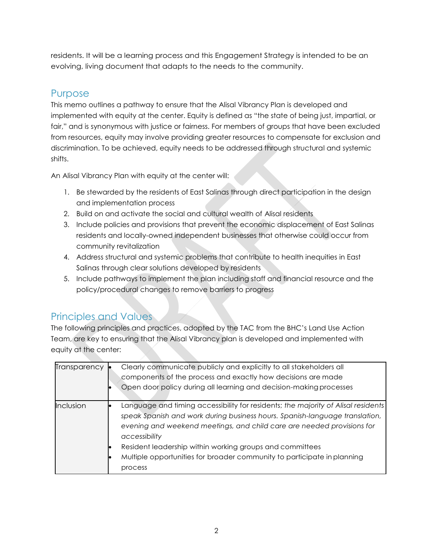residents. It will be a learning process and this Engagement Strategy is intended to be an evolving, living document that adapts to the needs to the community.

#### Purpose

This memo outlines a pathway to ensure that the Alisal Vibrancy Plan is developed and implemented with equity at the center. Equity is defined as "the state of being just, impartial, or fair," and is synonymous with justice or fairness. For members of groups that have been excluded from resources, equity may involve providing greater resources to compensate for exclusion and discrimination. To be achieved, equity needs to be addressed through structural and systemic shifts.

An Alisal Vibrancy Plan with equity at the center will:

- 1. Be stewarded by the residents of East Salinas through direct participation in the design and implementation process
- 2. Build on and activate the social and cultural wealth of Alisal residents
- 3. Include policies and provisions that prevent the economic displacement of East Salinas residents and locally-owned independent businesses that otherwise could occur from community revitalization
- 4. Address structural and systemic problems that contribute to health inequities in East Salinas through clear solutions developed by residents
- 5. Include pathways to implement the plan including staff and financial resource and the policy/procedural changes to remove barriers to progress

## Principles and Values

The following principles and practices, adopted by the TAC from the BHC's Land Use Action Team, are key to ensuring that the Alisal Vibrancy plan is developed and implemented with equity at the center:

| Transparency | Clearly communicate publicly and explicitly to all stakeholders all<br>components of the process and exactly how decisions are made<br>Open door policy during all learning and decision-making processes                                                                                                                                                                                                     |
|--------------|---------------------------------------------------------------------------------------------------------------------------------------------------------------------------------------------------------------------------------------------------------------------------------------------------------------------------------------------------------------------------------------------------------------|
| Inclusion    | Language and timing accessibility for residents; the majority of Alisal residents<br>speak Spanish and work during business hours. Spanish-language translation,<br>evening and weekend meetings, and child care are needed provisions for<br>accessibility<br>Resident leadership within working groups and committees<br>Multiple opportunities for broader community to participate in planning<br>process |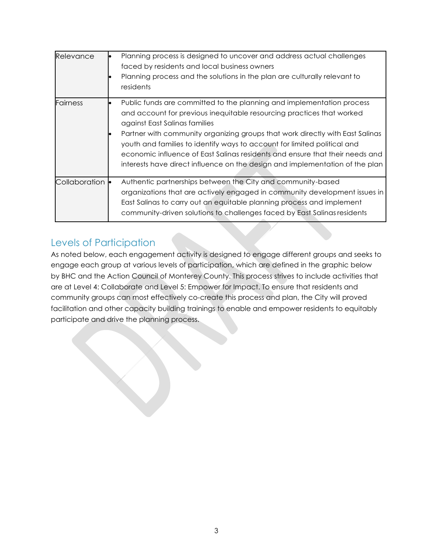| Relevance       | Planning process is designed to uncover and address actual challenges<br>faced by residents and local business owners<br>Planning process and the solutions in the plan are culturally relevant to<br>residents                                                                                                                                                                                                                                                                                              |
|-----------------|--------------------------------------------------------------------------------------------------------------------------------------------------------------------------------------------------------------------------------------------------------------------------------------------------------------------------------------------------------------------------------------------------------------------------------------------------------------------------------------------------------------|
| <b>Fairness</b> | Public funds are committed to the planning and implementation process<br>and account for previous inequitable resourcing practices that worked<br>against East Salinas families<br>Partner with community organizing groups that work directly with East Salinas<br>youth and families to identify ways to account for limited political and<br>economic influence of East Salinas residents and ensure that their needs and<br>interests have direct influence on the design and implementation of the plan |
| Collaboration • | Authentic partnerships between the City and community-based<br>organizations that are actively engaged in community development issues in<br>East Salinas to carry out an equitable planning process and implement<br>community-driven solutions to challenges faced by East Salinas residents                                                                                                                                                                                                               |

#### Levels of Participation

As noted below, each engagement activity is designed to engage different groups and seeks to engage each group at various levels of participation, which are defined in the graphic below by BHC and the Action Council of Monterey County. This process strives to include activities that are at Level 4: Collaborate and Level 5: Empower for Impact. To ensure that residents and community groups can most effectively co-create this process and plan, the City will proved facilitation and other capacity building trainings to enable and empower residents to equitably participate and drive the planning process.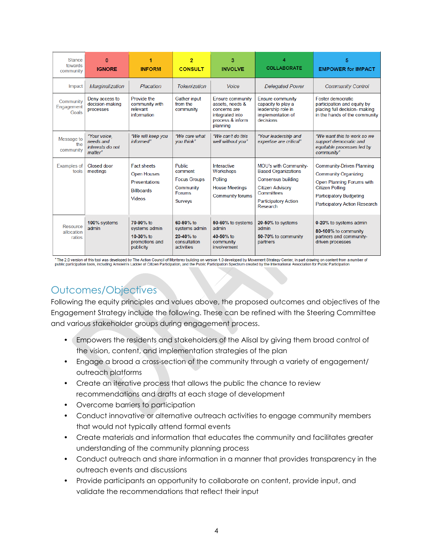| <b>Stance</b><br>towards<br>community | $\Omega$<br><b>IGNORE</b>                                | <b>INFORM</b>                                                                                          | $\overline{2}$<br><b>CONSULT</b>                                                                | 3<br><b>INVOLVE</b>                                                                                    | <b>COLLABORATE</b>                                                                                                                                            | 5<br><b>EMPOWER for IMPACT</b>                                                                                                                                                            |
|---------------------------------------|----------------------------------------------------------|--------------------------------------------------------------------------------------------------------|-------------------------------------------------------------------------------------------------|--------------------------------------------------------------------------------------------------------|---------------------------------------------------------------------------------------------------------------------------------------------------------------|-------------------------------------------------------------------------------------------------------------------------------------------------------------------------------------------|
| Impact                                | Marginalization                                          | Placation                                                                                              | <b>Tokenization</b>                                                                             | Voice                                                                                                  | <b>Delegated Power</b>                                                                                                                                        | <b>Community Control</b>                                                                                                                                                                  |
| Community<br>Engagement<br>Goals      | Deny access to<br>decision-making<br>processes           | Provide the<br>community with<br>relevant<br>information                                               | Gather input<br>from the<br>community                                                           | Ensure community<br>assets, needs &<br>concerns are<br>integrated into<br>process & inform<br>planning | <b>Ensure community</b><br>capacity to play a<br>leadership role in<br>implementation of<br>decisions                                                         | Foster democratic<br>participation and equity by<br>placing full decision- making<br>in the hands of the community                                                                        |
| Message to<br>the<br>community        | "Your voice,<br>needs and<br>interests do not<br>matter" | "We will keep you<br>informed"                                                                         | "We care what<br>vou think"                                                                     | "We can't do this<br>well without you"                                                                 | "Your leadership and<br>expertise are critical"                                                                                                               | "We want this to work so we<br>support democratic and<br>equitable processes led by<br>community"                                                                                         |
| <b>Examples of</b><br>tools           | Closed door<br>meetings                                  | <b>Fact sheets</b><br><b>Open Houses</b><br><b>Presentations</b><br><b>Billboards</b><br><b>Videos</b> | <b>Public</b><br>comment<br><b>Focus Groups</b><br>Community<br><b>Forums</b><br><b>Surveys</b> | Interactive<br>Workshops<br>Polling<br><b>House Meetings</b><br><b>Community forums</b>                | MOU's with Community-<br><b>Based Organizations</b><br>Consensus building<br><b>Citizen Advisory</b><br>Committees<br><b>Participatory Action</b><br>Research | <b>Community-Driven Planning</b><br><b>Community Organizing</b><br>Open Planning Forums with<br><b>Citizen Polling</b><br>Participatory Budgeting<br><b>Participatory Action Research</b> |
| Resource<br>allocation<br>ratios      | 100% systems<br>admin                                    | 70-90% to<br>systems admin<br>10-30% to<br>promotions and<br>publicity                                 | 60-80% to<br>systems admin<br>20-40% to<br>consultation<br>activities                           | 50-60% to systems<br>admin<br>$40 - 50%$ to<br>community<br>involvement                                | 20-50% to systems<br>admin<br>50-70% to community<br>partners                                                                                                 | 0-20% to systems admin<br>80-100% to community<br>partners and community-<br>driven processes                                                                                             |

\* The 2.0 version of this tool was developed by The Action Council of Monterey building on version 1.0 developed by Movement Strategy Center, in part drawing on content from a number of<br>public participation tools, includin

## Outcomes/Objectives

Following the equity principles and values above, the proposed outcomes and objectives of the Engagement Strategy include the following. These can be refined with the Steering Committee and various stakeholder groups during engagement process.

- Empowers the residents and stakeholders of the Alisal by giving them broad control of the vision, content, and implementation strategies of the plan
- Engage a broad a cross-section of the community through a variety of engagement/ outreach platforms
- Create an iterative process that allows the public the chance to review recommendations and drafts at each stage of development
- Overcome barriers to participation
- Conduct innovative or alternative outreach activities to engage community members that would not typically attend formal events
- Create materials and information that educates the community and facilitates greater understanding of the community planning process
- Conduct outreach and share information in a manner that provides transparency in the outreach events and discussions
- Provide participants an opportunity to collaborate on content, provide input, and validate the recommendations that reflect their input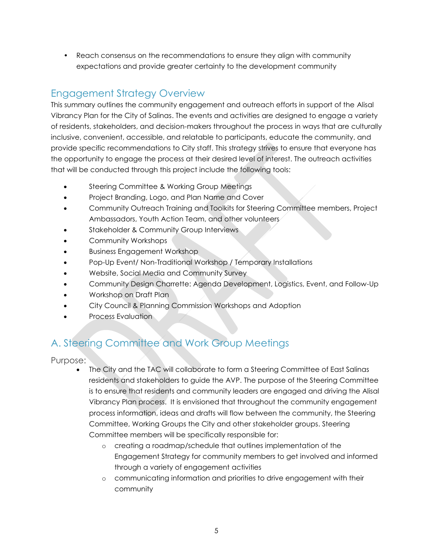• Reach consensus on the recommendations to ensure they align with community expectations and provide greater certainty to the development community

#### Engagement Strategy Overview

This summary outlines the community engagement and outreach efforts in support of the Alisal Vibrancy Plan for the City of Salinas. The events and activities are designed to engage a variety of residents, stakeholders, and decision-makers throughout the process in ways that are culturally inclusive, convenient, accessible, and relatable to participants, educate the community, and provide specific recommendations to City staff. This strategy strives to ensure that everyone has the opportunity to engage the process at their desired level of interest. The outreach activities that will be conducted through this project include the following tools:

- Steering Committee & Working Group Meetings
- Project Branding, Logo, and Plan Name and Cover
- Community Outreach Training and Toolkits for Steering Committee members, Project Ambassadors, Youth Action Team, and other volunteers
- Stakeholder & Community Group Interviews
- Community Workshops
- Business Engagement Workshop
- Pop-Up Event/ Non-Traditional Workshop / Temporary Installations
- Website, Social Media and Community Survey
- Community Design Charrette: Agenda Development, Logistics, Event, and Follow-Up
- Workshop on Draft Plan
- City Council & Planning Commission Workshops and Adoption
- Process Evaluation

## A. Steering Committee and Work Group Meetings

- The City and the TAC will collaborate to form a Steering Committee of East Salinas residents and stakeholders to guide the AVP. The purpose of the Steering Committee is to ensure that residents and community leaders are engaged and driving the Alisal Vibrancy Plan process. It is envisioned that throughout the community engagement process information, ideas and drafts will flow between the community, the Steering Committee, Working Groups the City and other stakeholder groups. Steering Committee members will be specifically responsible for:
	- o creating a roadmap/schedule that outlines implementation of the Engagement Strategy for community members to get involved and informed through a variety of engagement activities
	- o communicating information and priorities to drive engagement with their community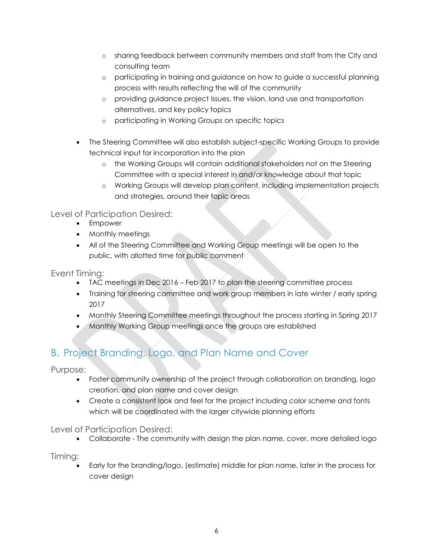- o sharing feedback between community members and staff from the City and consulting team
- o participating in training and guidance on how to guide a successful planning process with results reflecting the will of the community
- o providing guidance project issues, the vision, land use and transportation alternatives, and key policy topics
- o participating in Working Groups on specific topics
- The Steering Committee will also establish subject-specific Working Groups to provide technical input for incorporation into the plan
	- o the Working Groups will contain additional stakeholders not on the Steering Committee with a special interest in and/or knowledge about that topic
	- o Working Groups will develop plan content, including implementation projects and strategies, around their topic areas

Level of Participation Desired:

- Empower
- Monthly meetings
- All of the Steering Committee and Working Group meetings will be open to the public, with allotted time for public comment

Event Timing:

- TAC meetings in Dec 2016 Feb 2017 to plan the steering committee process
- Training for steering committee and work group members in late winter / early spring 2017
- Monthly Steering Committee meetings throughout the process starting in Spring 2017
- **Monthly Working Group meetings once the groups are established**

## B. Project Branding, Logo, and Plan Name and Cover

Purpose:

- Foster community ownership of the project through collaboration on branding, logo creation, and plan name and cover design
- Create a consistent look and feel for the project including color scheme and fonts which will be coordinated with the larger citywide planning efforts

Level of Participation Desired:

Collaborate - The community with design the plan name, cover, more detailed logo

Timing:

 Early for the branding/logo, (estimate) middle for plan name, later in the process for cover design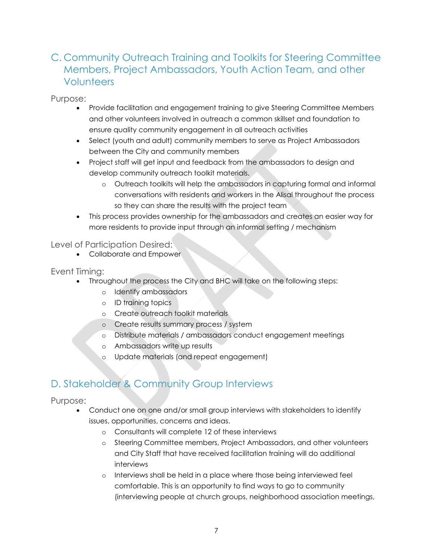#### C. Community Outreach Training and Toolkits for Steering Committee Members, Project Ambassadors, Youth Action Team, and other **Volunteers**

Purpose:

- Provide facilitation and engagement training to give Steering Committee Members and other volunteers involved in outreach a common skillset and foundation to ensure quality community engagement in all outreach activities
- Select (youth and adult) community members to serve as Project Ambassadors between the City and community members
- Project staff will get input and feedback from the ambassadors to design and develop community outreach toolkit materials.
	- o Outreach toolkits will help the ambassadors in capturing formal and informal conversations with residents and workers in the Alisal throughout the process so they can share the results with the project team
- This process provides ownership for the ambassadors and creates an easier way for more residents to provide input through an informal setting / mechanism

Level of Participation Desired:

Collaborate and Empower

Event Timing:

- Throughout the process the City and BHC will take on the following steps:
	- o Identify ambassadors
	- o ID training topics
	- o Create outreach toolkit materials
	- o Create results summary process / system
	- o Distribute materials / ambassadors conduct engagement meetings
	- o Ambassadors write up results
	- o Update materials (and repeat engagement)

#### D. Stakeholder & Community Group Interviews

- Conduct one on one and/or small group interviews with stakeholders to identify issues, opportunities, concerns and ideas.
	- o Consultants will complete 12 of these interviews
	- o Steering Committee members, Project Ambassadors, and other volunteers and City Staff that have received facilitation training will do additional interviews
	- o Interviews shall be held in a place where those being interviewed feel comfortable. This is an opportunity to find ways to go to community (interviewing people at church groups, neighborhood association meetings,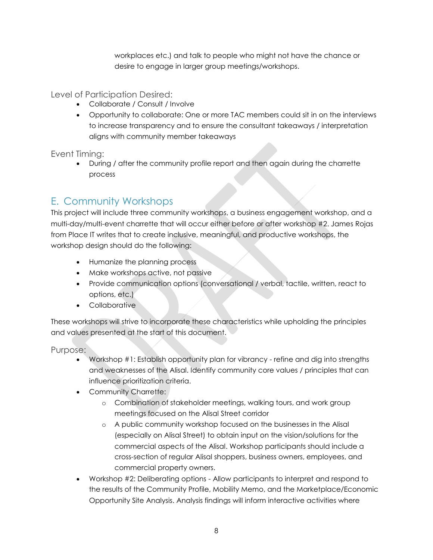workplaces etc.) and talk to people who might not have the chance or desire to engage in larger group meetings/workshops.

Level of Participation Desired:

- Collaborate / Consult / Involve
- Opportunity to collaborate: One or more TAC members could sit in on the interviews to increase transparency and to ensure the consultant takeaways / interpretation aligns with community member takeaways

Event Timing:

 During / after the community profile report and then again during the charrette process

#### E. Community Workshops

This project will include three community workshops, a business engagement workshop, and a multi-day/multi-event charrette that will occur either before or after workshop #2. James Rojas from Place IT writes that to create inclusive, meaningful, and productive workshops, the workshop design should do the following:

- Humanize the planning process
- Make workshops active, not passive
- Provide communication options (conversational / verbal, tactile, written, react to options, etc.)
- Collaborative

These workshops will strive to incorporate these characteristics while upholding the principles and values presented at the start of this document.

- Workshop #1: Establish opportunity plan for vibrancy refine and dig into strengths and weaknesses of the Alisal. Identify community core values / principles that can influence prioritization criteria.
- Community Charrette:
	- o Combination of stakeholder meetings, walking tours, and work group meetings focused on the Alisal Street corridor
	- o A public community workshop focused on the businesses in the Alisal (especially on Alisal Street) to obtain input on the vision/solutions for the commercial aspects of the Alisal. Workshop participants should include a cross-section of regular Alisal shoppers, business owners, employees, and commercial property owners.
- Workshop #2: Deliberating options Allow participants to interpret and respond to the results of the Community Profile, Mobility Memo, and the Marketplace/Economic Opportunity Site Analysis. Analysis findings will inform interactive activities where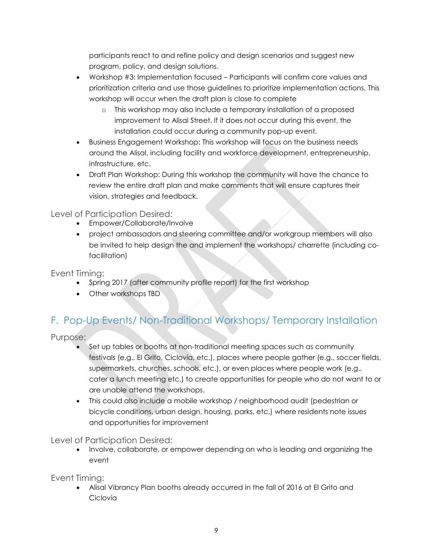participants react to and refine policy and design scenarios and suggest new program, policy, and design solutions.

- Workshop #3: Implementation focused Participants will confirm core values and prioritization criteria and use those guidelines to prioritize implementation actions. This workshop will occur when the draft plan is close to complete
	- o This workshop may also include a temporary installation of a proposed improvement to Alisal Street. If it does not occur during this event, the installation could occur during a community pop-up event.
- Business Engagement Workshop: This workshop will focus on the business needs around the Alisal, including facility and workforce development, entrepreneurship, infrastructure, etc.
- Draft Plan Workshop: During this workshop the community will have the chance to review the entire draft plan and make comments that will ensure captures their vision, strategies and feedback.

Level of Participation Desired:

- Empower/Collaborate/Involve
- project ambassadors and steering committee and/or workgroup members will also be invited to help design the and implement the workshops/ charrette (including cofacilitation)

Event Timing:

- Spring 2017 (after community profile report) for the first workshop
- Other workshops TBD

# F. Pop-Up Events/ Non-Traditional Workshops/ Temporary Installation

Purpose:

- Set up tables or booths at non-traditional meeting spaces such as community festivals (e.g., El Grito, Ciclovía, etc.), places where people gather (e.g., soccer fields, supermarkets, churches, schools, etc.), or even places where people work (e.g., cater a lunch meeting etc.) to create opportunities for people who do not want to or are unable attend the workshops.
- This could also include a mobile workshop / neighborhood audit (pedestrian or bicycle conditions, urban design, housing, parks, etc.) where residents note issues and opportunities for improvement

Level of Participation Desired:

 Involve, collaborate, or empower depending on who is leading and organizing the event

Event Timing:

 Alisal Vibrancy Plan booths already occurred in the fall of 2016 at El Grito and Ciclovía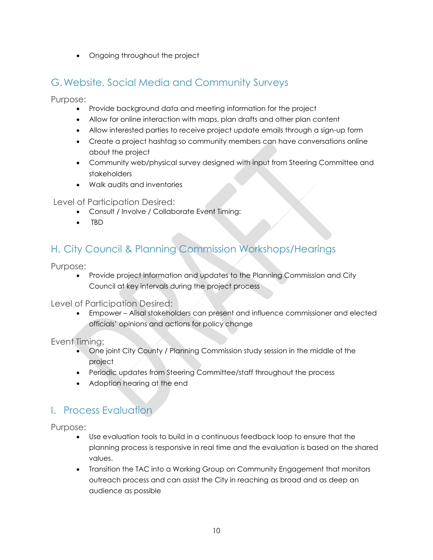• Ongoing throughout the project

#### G.Website, Social Media and Community Surveys

Purpose:

- Provide background data and meeting information for the project
- Allow for online interaction with maps, plan drafts and other plan content
- Allow interested parties to receive project update emails through a sign-up form
- Create a project hashtag so community members can have conversations online about the project
- Community web/physical survey designed with input from Steering Committee and stakeholders
- Walk audits and inventories

#### Level of Participation Desired:

- Consult / Involve / Collaborate Event Timing:
- TBD

#### H. City Council & Planning Commission Workshops/Hearings

Purpose:

 Provide project information and updates to the Planning Commission and City Council at key intervals during the project process

Level of Participation Desired:

 Empower – Alisal stakeholders can present and influence commissioner and elected officials' opinions and actions for policy change

Event Timing:

- One joint City County / Planning Commission study session in the middle of the project
- Periodic updates from Steering Committee/staff throughout the process
- Adoption hearing at the end

#### I. Process Evaluation

- Use evaluation tools to build in a continuous feedback loop to ensure that the planning process is responsive in real time and the evaluation is based on the shared values.
- Transition the TAC into a Working Group on Community Engagement that monitors outreach process and can assist the City in reaching as broad and as deep an audience as possible